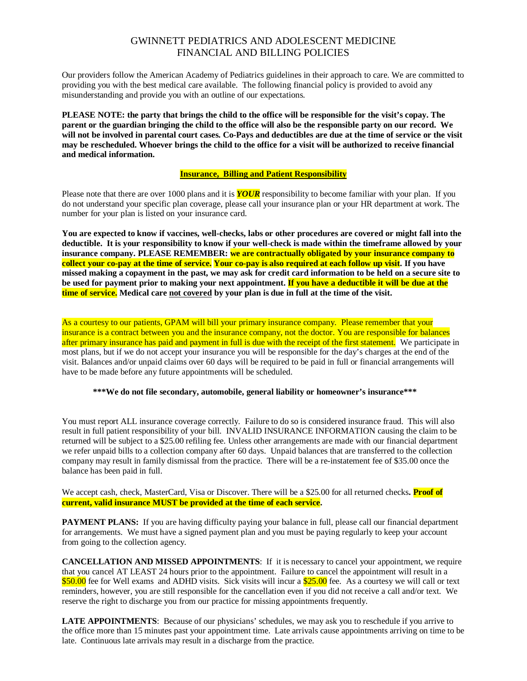# GWINNETT PEDIATRICS AND ADOLESCENT MEDICINE FINANCIAL AND BILLING POLICIES

Our providers follow the American Academy of Pediatrics guidelines in their approach to care. We are committed to providing you with the best medical care available. The following financial policy is provided to avoid any misunderstanding and provide you with an outline of our expectations.

**PLEASE NOTE: the party that brings the child to the office will be responsible for the visit's copay. The parent or the guardian bringing the child to the office will also be the responsible party on our record. We will not be involved in parental court cases. Co-Pays and deductibles are due at the time of service or the visit may be rescheduled. Whoever brings the child to the office for a visit will be authorized to receive financial and medical information.** 

## **Insurance, Billing and Patient Responsibility**

Please note that there are over 1000 plans and it is *YOUR* responsibility to become familiar with your plan. If you do not understand your specific plan coverage, please call your insurance plan or your HR department at work. The number for your plan is listed on your insurance card.

**You are expected to know if vaccines, well-checks, labs or other procedures are covered or might fall into the deductible. It is your responsibility to know if your well-check is made within the timeframe allowed by your insurance company. PLEASE REMEMBER: we are contractually obligated by your insurance company to collect your co-pay at the time of service. Your co-pay is also required at each follow up visit. If you have missed making a copayment in the past, we may ask for credit card information to be held on a secure site to be used for payment prior to making your next appointment. If you have a deductible it will be due at the time of service. Medical care not covered by your plan is due in full at the time of the visit.** 

As a courtesy to our patients, GPAM will bill your primary insurance company. Please remember that your insurance is a contract between you and the insurance company, not the doctor. You are responsible for balances after primary insurance has paid and payment in full is due with the receipt of the first statement. We participate in most plans, but if we do not accept your insurance you will be responsible for the day's charges at the end of the visit. Balances and/or unpaid claims over 60 days will be required to be paid in full or financial arrangements will have to be made before any future appointments will be scheduled.

#### **\*\*\*We do not file secondary, automobile, general liability or homeowner's insurance\*\*\***

You must report ALL insurance coverage correctly. Failure to do so is considered insurance fraud. This will also result in full patient responsibility of your bill. INVALID INSURANCE INFORMATION causing the claim to be returned will be subject to a \$25.00 refiling fee. Unless other arrangements are made with our financial department we refer unpaid bills to a collection company after 60 days. Unpaid balances that are transferred to the collection company may result in family dismissal from the practice. There will be a re-instatement fee of \$35.00 once the balance has been paid in full.

We accept cash, check, MasterCard, Visa or Discover. There will be a \$25.00 for all returned checks. **Proof of current, valid insurance MUST be provided at the time of each service.** 

**PAYMENT PLANS:** If you are having difficulty paying your balance in full, please call our financial department for arrangements. We must have a signed payment plan and you must be paying regularly to keep your account from going to the collection agency.

**CANCELLATION AND MISSED APPOINTMENTS**: If it is necessary to cancel your appointment, we require that you cancel AT LEAST 24 hours prior to the appointment. Failure to cancel the appointment will result in a \$50.00 fee for Well exams and ADHD visits. Sick visits will incur a \$25.00 fee. As a courtesy we will call or text reminders, however, you are still responsible for the cancellation even if you did not receive a call and/or text. We reserve the right to discharge you from our practice for missing appointments frequently.

**LATE APPOINTMENTS**: Because of our physicians' schedules, we may ask you to reschedule if you arrive to the office more than 15 minutes past your appointment time. Late arrivals cause appointments arriving on time to be late. Continuous late arrivals may result in a discharge from the practice.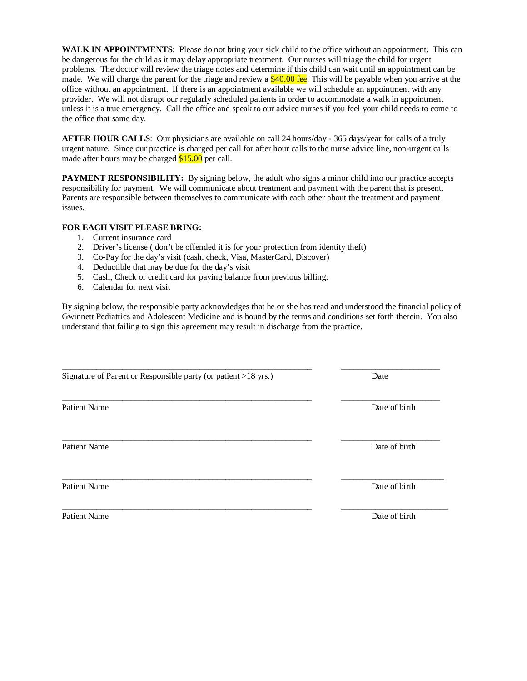**WALK IN APPOINTMENTS**: Please do not bring your sick child to the office without an appointment. This can be dangerous for the child as it may delay appropriate treatment. Our nurses will triage the child for urgent problems. The doctor will review the triage notes and determine if this child can wait until an appointment can be made. We will charge the parent for the triage and review a  $$40.00$  fee. This will be payable when you arrive at the office without an appointment. If there is an appointment available we will schedule an appointment with any provider. We will not disrupt our regularly scheduled patients in order to accommodate a walk in appointment unless it is a true emergency. Call the office and speak to our advice nurses if you feel your child needs to come to the office that same day.

**AFTER HOUR CALLS:** Our physicians are available on call 24 hours/day - 365 days/year for calls of a truly urgent nature. Since our practice is charged per call for after hour calls to the nurse advice line, non-urgent calls made after hours may be charged  $$15.00$  per call.

**PAYMENT RESPONSIBILITY:** By signing below, the adult who signs a minor child into our practice accepts responsibility for payment. We will communicate about treatment and payment with the parent that is present. Parents are responsible between themselves to communicate with each other about the treatment and payment issues.

## **FOR EACH VISIT PLEASE BRING:**

- 1. Current insurance card
- 2. Driver's license ( don't be offended it is for your protection from identity theft)
- 3. Co-Pay for the day's visit (cash, check, Visa, MasterCard, Discover)
- 4. Deductible that may be due for the day's visit
- 5. Cash, Check or credit card for paying balance from previous billing.
- 6. Calendar for next visit

By signing below, the responsible party acknowledges that he or she has read and understood the financial policy of Gwinnett Pediatrics and Adolescent Medicine and is bound by the terms and conditions set forth therein. You also understand that failing to sign this agreement may result in discharge from the practice.

| Signature of Parent or Responsible party (or patient >18 yrs.) | Date          |  |
|----------------------------------------------------------------|---------------|--|
|                                                                |               |  |
| <b>Patient Name</b>                                            | Date of birth |  |
|                                                                |               |  |
| <b>Patient Name</b>                                            | Date of birth |  |
|                                                                |               |  |
| <b>Patient Name</b>                                            | Date of birth |  |

\_\_\_\_\_\_\_\_\_\_\_\_\_\_\_\_\_\_\_\_\_\_\_\_\_\_\_\_\_\_\_\_\_\_\_\_\_\_\_\_\_\_\_\_\_\_\_\_\_\_\_\_\_\_\_\_\_\_ \_\_\_\_\_\_\_\_\_\_\_\_\_\_\_\_\_\_\_\_\_\_\_\_\_

Patient Name Date of birth